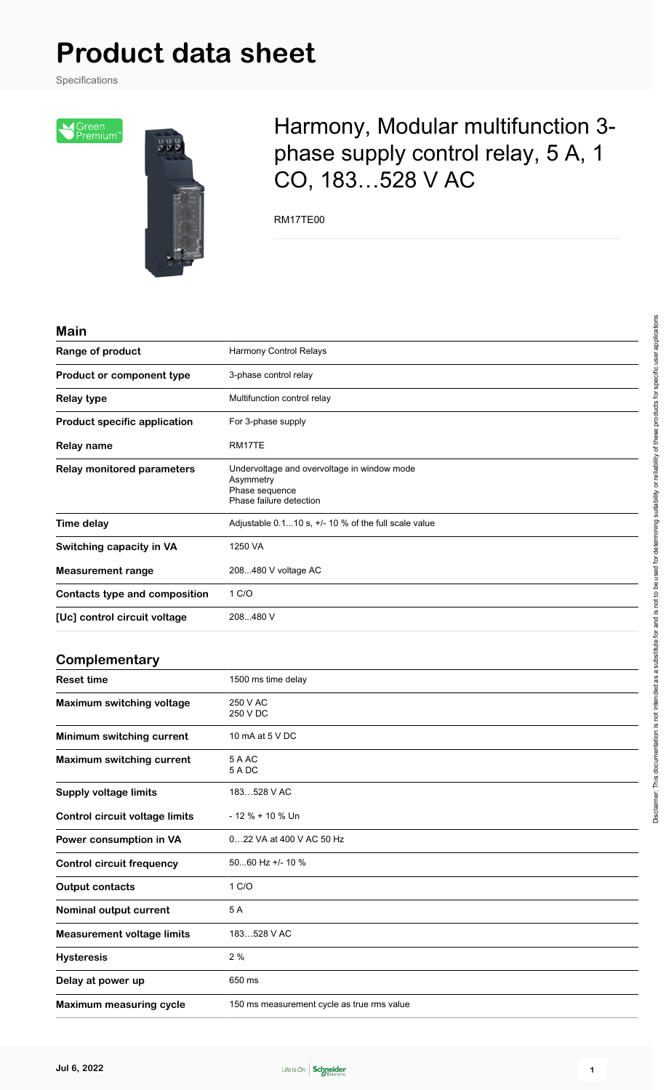Specifications



## Harmony, Modular multifunction 3 phase supply control relay, 5 A, 1 CO, 183…528 V AC

RM17TE00

#### **Main**

| Range of product                      | Harmony Control Relays                                                                                |
|---------------------------------------|-------------------------------------------------------------------------------------------------------|
| Product or component type             | 3-phase control relay                                                                                 |
| <b>Relay type</b>                     | Multifunction control relay                                                                           |
| <b>Product specific application</b>   | For 3-phase supply                                                                                    |
| <b>Relay name</b>                     | RM17TE                                                                                                |
| <b>Relay monitored parameters</b>     | Undervoltage and overvoltage in window mode<br>Asymmetry<br>Phase sequence<br>Phase failure detection |
| <b>Time delay</b>                     | Adjustable $0.110$ s, $+/$ -10 % of the full scale value                                              |
| Switching capacity in VA              | 1250 VA                                                                                               |
| <b>Measurement range</b>              | 208480 V voltage AC                                                                                   |
| <b>Contacts type and composition</b>  | 1 C/O                                                                                                 |
| [Uc] control circuit voltage          | 208480 V                                                                                              |
| Complementary                         |                                                                                                       |
| <b>Reset time</b>                     | 1500 ms time delay                                                                                    |
| <b>Maximum switching voltage</b>      | 250 V AC<br>250 V DC                                                                                  |
| Minimum switching current             | 10 mA at 5 V DC                                                                                       |
| <b>Maximum switching current</b>      | 5 A AC<br>5 A DC                                                                                      |
| <b>Supply voltage limits</b>          | 183528 V AC                                                                                           |
| <b>Control circuit voltage limits</b> | - 12 % + 10 % Un                                                                                      |
| Power consumption in VA               | 022 VA at 400 V AC 50 Hz                                                                              |
| <b>Control circuit frequency</b>      | 5060 Hz +/- 10 %                                                                                      |
| <b>Output contacts</b>                | 1 C/O                                                                                                 |
| Nominal output current                | 5A                                                                                                    |

**Measurement voltage limits** 183…528 V AC

**Maximum measuring cycle** 150 ms measurement cycle as true rms value

**Hysteresis** 2 %

**Delay at power up** 650 ms

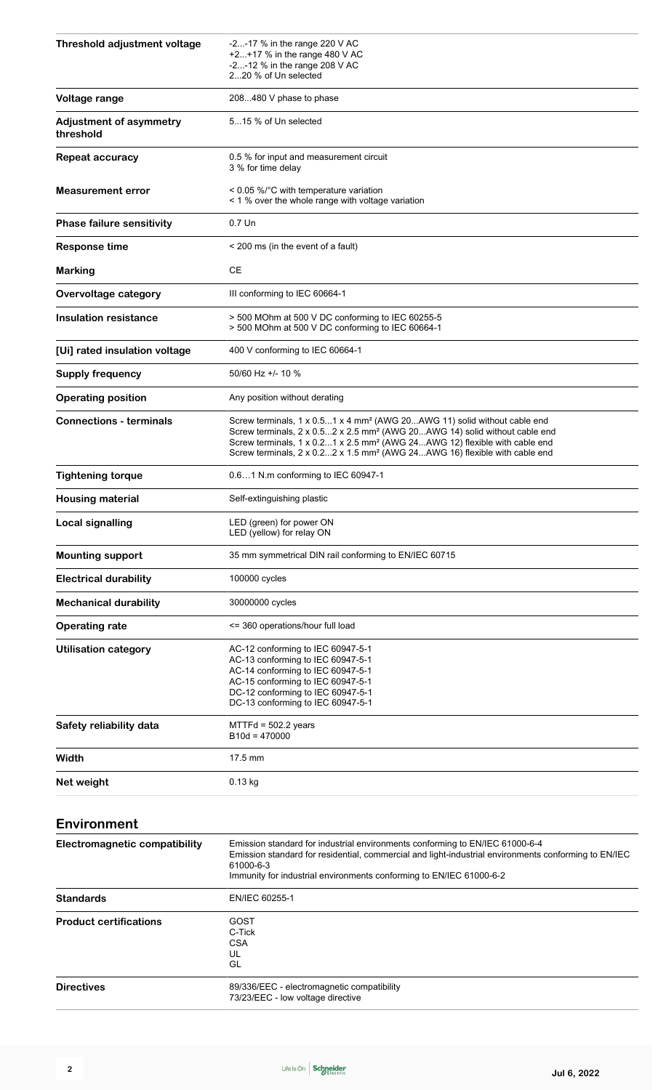| Threshold adjustment voltage                | $-2$ -17 % in the range 220 V AC<br>+2+17 % in the range 480 V AC<br>-2-12 % in the range 208 V AC<br>220 % of Un selected                                                                                                                                                                                                                                         |  |
|---------------------------------------------|--------------------------------------------------------------------------------------------------------------------------------------------------------------------------------------------------------------------------------------------------------------------------------------------------------------------------------------------------------------------|--|
| Voltage range                               | 208480 V phase to phase                                                                                                                                                                                                                                                                                                                                            |  |
| <b>Adjustment of asymmetry</b><br>threshold | 515 % of Un selected                                                                                                                                                                                                                                                                                                                                               |  |
| <b>Repeat accuracy</b>                      | 0.5 % for input and measurement circuit<br>3 % for time delay                                                                                                                                                                                                                                                                                                      |  |
| <b>Measurement error</b>                    | < 0.05 %/°C with temperature variation<br>< 1 % over the whole range with voltage variation                                                                                                                                                                                                                                                                        |  |
| <b>Phase failure sensitivity</b>            | 0.7 Un                                                                                                                                                                                                                                                                                                                                                             |  |
| <b>Response time</b>                        | < 200 ms (in the event of a fault)                                                                                                                                                                                                                                                                                                                                 |  |
| <b>Marking</b>                              | CЕ                                                                                                                                                                                                                                                                                                                                                                 |  |
| <b>Overvoltage category</b>                 | III conforming to IEC 60664-1                                                                                                                                                                                                                                                                                                                                      |  |
| <b>Insulation resistance</b>                | > 500 MOhm at 500 V DC conforming to IEC 60255-5<br>> 500 MOhm at 500 V DC conforming to IEC 60664-1                                                                                                                                                                                                                                                               |  |
| [Ui] rated insulation voltage               | 400 V conforming to IEC 60664-1                                                                                                                                                                                                                                                                                                                                    |  |
| <b>Supply frequency</b>                     | 50/60 Hz +/- 10 %                                                                                                                                                                                                                                                                                                                                                  |  |
| <b>Operating position</b>                   | Any position without derating                                                                                                                                                                                                                                                                                                                                      |  |
| <b>Connections - terminals</b>              | Screw terminals, 1 x 0.51 x 4 mm <sup>2</sup> (AWG 20AWG 11) solid without cable end<br>Screw terminals, 2 x 0.52 x 2.5 mm <sup>2</sup> (AWG 20AWG 14) solid without cable end<br>Screw terminals, 1 x 0.21 x 2.5 mm <sup>2</sup> (AWG 24AWG 12) flexible with cable end<br>Screw terminals, 2 x 0.22 x 1.5 mm <sup>2</sup> (AWG 24AWG 16) flexible with cable end |  |
| <b>Tightening torque</b>                    | 0.61 N.m conforming to IEC 60947-1                                                                                                                                                                                                                                                                                                                                 |  |
| <b>Housing material</b>                     | Self-extinguishing plastic                                                                                                                                                                                                                                                                                                                                         |  |
| Local signalling                            | LED (green) for power ON<br>LED (yellow) for relay ON                                                                                                                                                                                                                                                                                                              |  |
| <b>Mounting support</b>                     | 35 mm symmetrical DIN rail conforming to EN/IEC 60715                                                                                                                                                                                                                                                                                                              |  |
| <b>Electrical durability</b>                | 100000 cycles                                                                                                                                                                                                                                                                                                                                                      |  |
| <b>Mechanical durability</b>                | 30000000 cycles                                                                                                                                                                                                                                                                                                                                                    |  |
| <b>Operating rate</b>                       | <= 360 operations/hour full load                                                                                                                                                                                                                                                                                                                                   |  |
| <b>Utilisation category</b>                 | AC-12 conforming to IEC 60947-5-1<br>AC-13 conforming to IEC 60947-5-1<br>AC-14 conforming to IEC 60947-5-1<br>AC-15 conforming to IEC 60947-5-1<br>DC-12 conforming to IEC 60947-5-1<br>DC-13 conforming to IEC 60947-5-1                                                                                                                                         |  |
| Safety reliability data                     | $MTTH = 502.2$ years<br>B10d = 470000                                                                                                                                                                                                                                                                                                                              |  |
| Width                                       | 17.5 mm                                                                                                                                                                                                                                                                                                                                                            |  |
| Net weight                                  | 0.13 kg                                                                                                                                                                                                                                                                                                                                                            |  |
| Environment                                 |                                                                                                                                                                                                                                                                                                                                                                    |  |
| <b>Electromagnetic compatibility</b>        | Emission standard for industrial environments conforming to EN/IEC 61000-6-4<br>Emission standard for residential, commercial and light-industrial environments conforming to EN/IEC<br>61000-6-3<br>Immunity for industrial environments conforming to EN/IEC 61000-6-2                                                                                           |  |

| <b>Standards</b>              | EN/IEC 60255-1                             |  |
|-------------------------------|--------------------------------------------|--|
| <b>Product certifications</b> | GOST                                       |  |
|                               | C-Tick                                     |  |
|                               | <b>CSA</b>                                 |  |
|                               | UL                                         |  |
|                               | GL                                         |  |
| <b>Directives</b>             | 89/336/EEC - electromagnetic compatibility |  |
|                               | 73/23/EEC - low voltage directive          |  |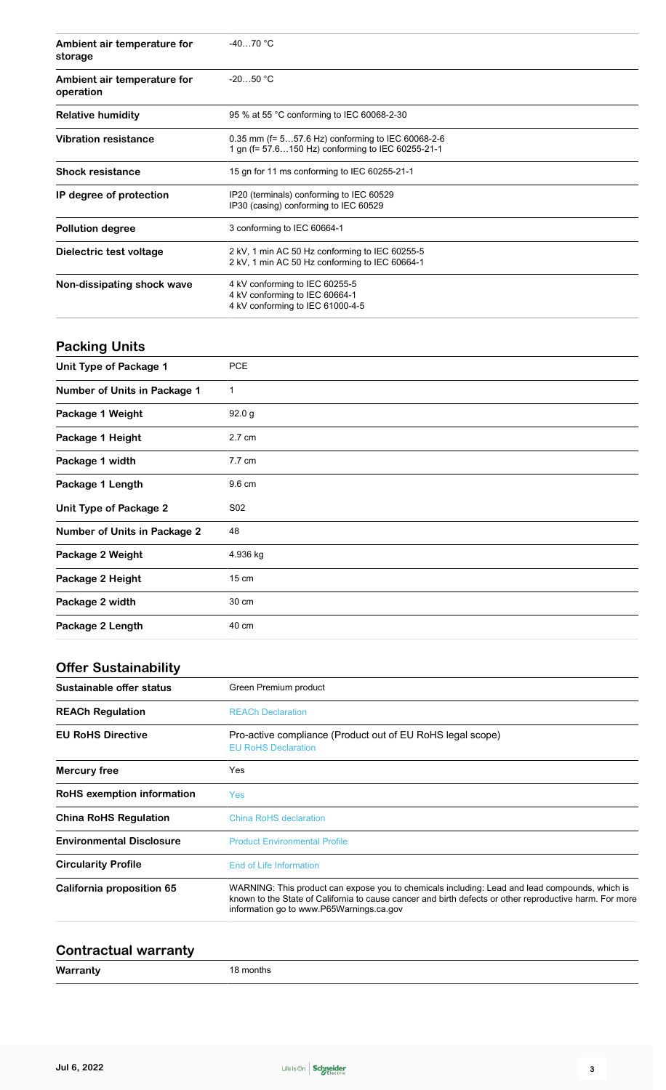| Ambient air temperature for<br>storage   | $-4070 °C$                                                                                             |  |
|------------------------------------------|--------------------------------------------------------------------------------------------------------|--|
| Ambient air temperature for<br>operation | $-2050 °C$                                                                                             |  |
| <b>Relative humidity</b>                 | 95 % at 55 °C conforming to IEC 60068-2-30                                                             |  |
| <b>Vibration resistance</b>              | 0.35 mm (f= 557.6 Hz) conforming to IEC 60068-2-6<br>1 gn (f= 57.6150 Hz) conforming to IEC 60255-21-1 |  |
| <b>Shock resistance</b>                  | 15 gn for 11 ms conforming to IEC 60255-21-1                                                           |  |
| IP degree of protection                  | IP20 (terminals) conforming to IEC 60529<br>IP30 (casing) conforming to IEC 60529                      |  |
| <b>Pollution degree</b>                  | 3 conforming to IEC 60664-1                                                                            |  |
| Dielectric test voltage                  | 2 kV, 1 min AC 50 Hz conforming to IEC 60255-5<br>2 kV, 1 min AC 50 Hz conforming to IEC 60664-1       |  |
| Non-dissipating shock wave               | 4 kV conforming to IEC 60255-5<br>4 kV conforming to IEC 60664-1<br>4 kV conforming to IEC 61000-4-5   |  |

## **Packing Units**

| Unit Type of Package 1              | <b>PCE</b> |
|-------------------------------------|------------|
| <b>Number of Units in Package 1</b> | 1          |
| Package 1 Weight                    | 92.0 g     |
| Package 1 Height                    | 2.7 cm     |
| Package 1 width                     | 7.7 cm     |
| Package 1 Length                    | 9.6 cm     |
| <b>Unit Type of Package 2</b>       | S02        |
| <b>Number of Units in Package 2</b> | 48         |
| Package 2 Weight                    | 4.936 kg   |
| Package 2 Height                    | 15 cm      |
| Package 2 width                     | 30 cm      |
| Package 2 Length                    | 40 cm      |

## **Offer Sustainability**

| Sustainable offer status        | Green Premium product                                                                                                                                                                                                                                 |  |
|---------------------------------|-------------------------------------------------------------------------------------------------------------------------------------------------------------------------------------------------------------------------------------------------------|--|
| <b>REACh Regulation</b>         | <b>REACh Declaration</b>                                                                                                                                                                                                                              |  |
| <b>EU RoHS Directive</b>        | Pro-active compliance (Product out of EU RoHS legal scope)<br><b>EU RoHS Declaration</b>                                                                                                                                                              |  |
| Mercury free                    | Yes                                                                                                                                                                                                                                                   |  |
| RoHS exemption information      | Yes                                                                                                                                                                                                                                                   |  |
| <b>China RoHS Regulation</b>    | China RoHS declaration                                                                                                                                                                                                                                |  |
| <b>Environmental Disclosure</b> | <b>Product Environmental Profile</b>                                                                                                                                                                                                                  |  |
| <b>Circularity Profile</b>      | End of Life Information                                                                                                                                                                                                                               |  |
| California proposition 65       | WARNING: This product can expose you to chemicals including: Lead and lead compounds, which is<br>known to the State of California to cause cancer and birth defects or other reproductive harm. For more<br>information go to www.P65Warnings.ca.gov |  |

## **Contractual warranty**

| Warranty           | . .       |
|--------------------|-----------|
| and the control of | 18 months |
|                    |           |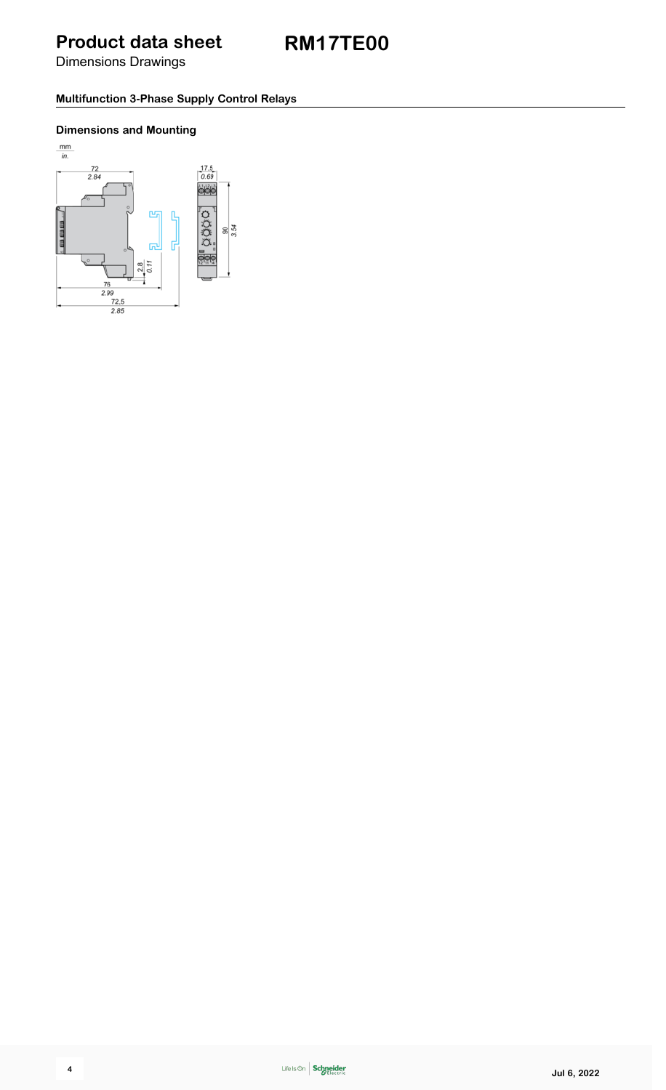Dimensions Drawings

#### **Multifunction 3-Phase Supply Control Relays**

#### **Dimensions and Mounting**

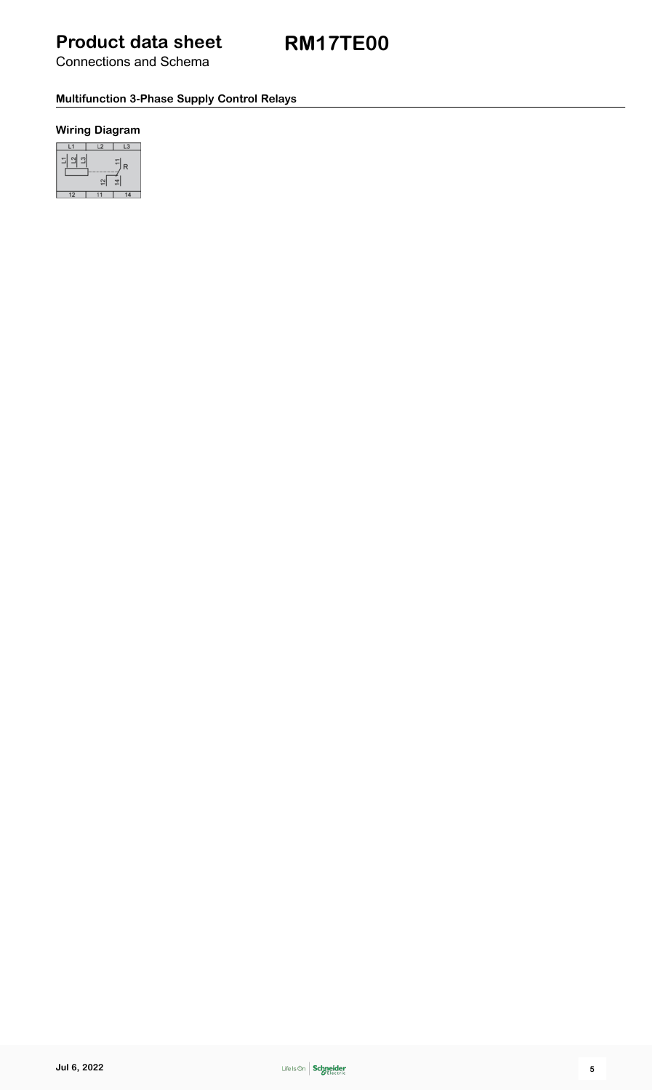**RM17TE00**

Connections and Schema

#### **Multifunction 3-Phase Supply Control Relays**

#### **Wiring Diagram**

|  | R |
|--|---|
|  |   |